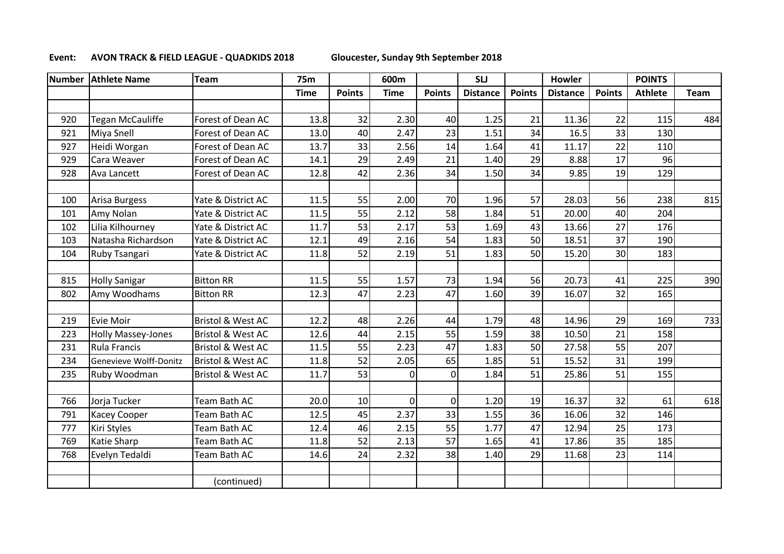## **Event: AVON TRACK & FIELD LEAGUE - QUADKIDS 2018 Gloucester, Sunday 9th September 2018**

| <b>Number</b> | <b>Athlete Name</b>       | Team                         | <b>75m</b>  |               | 600m        |               | <b>SLJ</b>      |               | Howler          |               | <b>POINTS</b>  |      |
|---------------|---------------------------|------------------------------|-------------|---------------|-------------|---------------|-----------------|---------------|-----------------|---------------|----------------|------|
|               |                           |                              | <b>Time</b> | <b>Points</b> | <b>Time</b> | <b>Points</b> | <b>Distance</b> | <b>Points</b> | <b>Distance</b> | <b>Points</b> | <b>Athlete</b> | Team |
|               |                           |                              |             |               |             |               |                 |               |                 |               |                |      |
| 920           | <b>Tegan McCauliffe</b>   | Forest of Dean AC            | 13.8        | 32            | 2.30        | 40            | 1.25            | 21            | 11.36           | 22            | 115            | 484  |
| 921           | Miya Snell                | Forest of Dean AC            | 13.0        | 40            | 2.47        | 23            | 1.51            | 34            | 16.5            | 33            | 130            |      |
| 927           | Heidi Worgan              | Forest of Dean AC            | 13.7        | 33            | 2.56        | 14            | 1.64            | 41            | 11.17           | 22            | 110            |      |
| 929           | Cara Weaver               | Forest of Dean AC            | 14.1        | 29            | 2.49        | 21            | 1.40            | 29            | 8.88            | 17            | 96             |      |
| 928           | Ava Lancett               | Forest of Dean AC            | 12.8        | 42            | 2.36        | 34            | 1.50            | 34            | 9.85            | 19            | 129            |      |
|               |                           |                              |             |               |             |               |                 |               |                 |               |                |      |
| 100           | Arisa Burgess             | Yate & District AC           | 11.5        | 55            | 2.00        | 70            | 1.96            | 57            | 28.03           | 56            | 238            | 815  |
| 101           | Amy Nolan                 | Yate & District AC           | 11.5        | 55            | 2.12        | 58            | 1.84            | 51            | 20.00           | 40            | 204            |      |
| 102           | Lilia Kilhourney          | Yate & District AC           | 11.7        | 53            | 2.17        | 53            | 1.69            | 43            | 13.66           | 27            | 176            |      |
| 103           | Natasha Richardson        | Yate & District AC           | 12.1        | 49            | 2.16        | 54            | 1.83            | 50            | 18.51           | 37            | 190            |      |
| 104           | Ruby Tsangari             | Yate & District AC           | 11.8        | 52            | 2.19        | 51            | 1.83            | 50            | 15.20           | 30            | 183            |      |
|               |                           |                              |             |               |             |               |                 |               |                 |               |                |      |
| 815           | <b>Holly Sanigar</b>      | <b>Bitton RR</b>             | 11.5        | 55            | 1.57        | 73            | 1.94            | 56            | 20.73           | 41            | 225            | 390  |
| 802           | Amy Woodhams              | <b>Bitton RR</b>             | 12.3        | 47            | 2.23        | 47            | 1.60            | 39            | 16.07           | 32            | 165            |      |
|               |                           |                              |             |               |             |               |                 |               |                 |               |                |      |
| 219           | <b>Evie Moir</b>          | <b>Bristol &amp; West AC</b> | 12.2        | 48            | 2.26        | 44            | 1.79            | 48            | 14.96           | 29            | 169            | 733  |
| 223           | <b>Holly Massey-Jones</b> | <b>Bristol &amp; West AC</b> | 12.6        | 44            | 2.15        | 55            | 1.59            | 38            | 10.50           | 21            | 158            |      |
| 231           | <b>Rula Francis</b>       | <b>Bristol &amp; West AC</b> | 11.5        | 55            | 2.23        | 47            | 1.83            | 50            | 27.58           | 55            | 207            |      |
| 234           | Genevieve Wolff-Donitz    | <b>Bristol &amp; West AC</b> | 11.8        | 52            | 2.05        | 65            | 1.85            | 51            | 15.52           | 31            | 199            |      |
| 235           | Ruby Woodman              | <b>Bristol &amp; West AC</b> | 11.7        | 53            | $\mathbf 0$ | 0             | 1.84            | 51            | 25.86           | 51            | 155            |      |
|               |                           |                              |             |               |             |               |                 |               |                 |               |                |      |
| 766           | Jorja Tucker              | Team Bath AC                 | 20.0        | 10            | $\mathbf 0$ | 0             | 1.20            | 19            | 16.37           | 32            | 61             | 618  |
| 791           | <b>Kacey Cooper</b>       | Team Bath AC                 | 12.5        | 45            | 2.37        | 33            | 1.55            | 36            | 16.06           | 32            | 146            |      |
| 777           | Kiri Styles               | Team Bath AC                 | 12.4        | 46            | 2.15        | 55            | 1.77            | 47            | 12.94           | 25            | 173            |      |
| 769           | Katie Sharp               | Team Bath AC                 | 11.8        | 52            | 2.13        | 57            | 1.65            | 41            | 17.86           | 35            | 185            |      |
| 768           | Evelyn Tedaldi            | Team Bath AC                 | 14.6        | 24            | 2.32        | 38            | 1.40            | 29            | 11.68           | 23            | 114            |      |
|               |                           |                              |             |               |             |               |                 |               |                 |               |                |      |
|               |                           | (continued)                  |             |               |             |               |                 |               |                 |               |                |      |